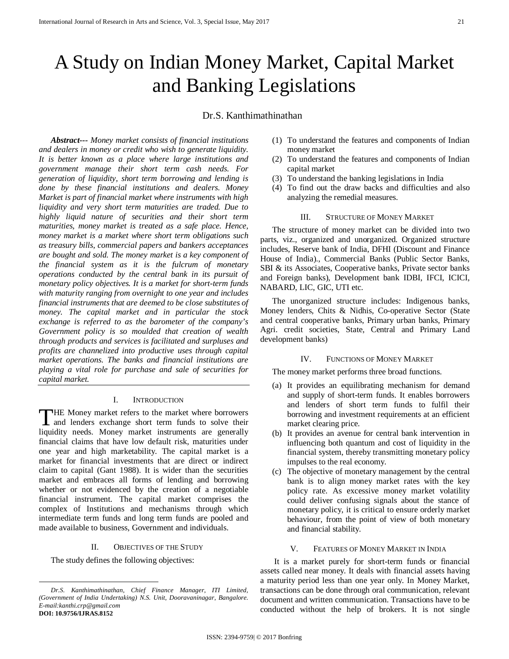# A Study on Indian Money Market, Capital Market and Banking Legislations

# Dr.S. Kanthimathinathan

*Abstract--- Money market consists of financial institutions and dealers in money or credit who wish to generate liquidity. It is better known as a place where large institutions and government manage their short term cash needs. For generation of liquidity, short term borrowing and lending is done by these financial institutions and dealers. Money Market is part of financial market where instruments with high liquidity and very short term maturities are traded. Due to highly liquid nature of securities and their short term maturities, money market is treated as a safe place. Hence, money market is a market where short term obligations such as treasury bills, commercial papers and bankers acceptances are bought and sold. The money market is a key component of the financial system as it is the fulcrum of monetary operations conducted by the central bank in its pursuit of monetary policy objectives. It is a market for short-term funds with maturity ranging from overnight to one year and includes financial instruments that are deemed to be close substitutes of money. The capital market and in particular the stock exchange is referred to as the barometer of the company's Government policy is so moulded that creation of wealth through products and services is facilitated and surpluses and profits are channelized into productive uses through capital market operations. The banks and financial institutions are playing a vital role for purchase and sale of securities for capital market.*

# I. INTRODUCTION

HE Money market refers to the market where borrowers and lenders exchange short term funds to solve their THE Money market refers to the market where borrowers<br>and lenders exchange short term funds to solve their<br>liquidity needs. Money market instruments are generally financial claims that have low default risk, maturities under one year and high marketability. The capital market is a market for financial investments that are direct or indirect claim to capital (Gant 1988). It is wider than the securities market and embraces all forms of lending and borrowing whether or not evidenced by the creation of a negotiable financial instrument. The capital market comprises the complex of Institutions and mechanisms through which intermediate term funds and long term funds are pooled and made available to business, Government and individuals.

## II. OBJECTIVES OF THE STUDY

The study defines the following objectives:

**.** 

- (1) To understand the features and components of Indian money market
- (2) To understand the features and components of Indian capital market
- (3) To understand the banking legislations in India
- (4) To find out the draw backs and difficulties and also analyzing the remedial measures.

#### III. STRUCTURE OF MONEY MARKET

The structure of money market can be divided into two parts, viz., organized and unorganized. Organized structure includes, Reserve bank of India, DFHI (Discount and Finance House of India)., Commercial Banks (Public Sector Banks, SBI & its Associates, Cooperative banks, Private sector banks and Foreign banks), Development bank IDBI, IFCI, ICICI, NABARD, LIC, GIC, UTI etc.

The unorganized structure includes: Indigenous banks, Money lenders, Chits & Nidhis, Co-operative Sector (State and central cooperative banks, Primary urban banks, Primary Agri. credit societies, State, Central and Primary Land development banks)

## IV. FUNCTIONS OF MONEY MARKET

The money market performs three broad functions.

- (a) It provides an equilibrating mechanism for demand and supply of short-term funds. It enables borrowers and lenders of short term funds to fulfil their borrowing and investment requirements at an efficient market clearing price.
- (b) It provides an avenue for central bank intervention in influencing both quantum and cost of liquidity in the financial system, thereby transmitting monetary policy impulses to the real economy.
- (c) The objective of monetary management by the central bank is to align money market rates with the key policy rate. As excessive money market volatility could deliver confusing signals about the stance of monetary policy, it is critical to ensure orderly market behaviour, from the point of view of both monetary and financial stability.

# V. FEATURES OF MONEY MARKET IN INDIA

It is a market purely for short-term funds or financial assets called near money. It deals with financial assets having a maturity period less than one year only. In Money Market, transactions can be done through oral communication, relevant document and written communication. Transactions have to be conducted without the help of brokers. It is not single

*Dr.S. Kanthimathinathan, Chief Finance Manager, ITI Limited, (Government of India Undertaking) N.S. Unit, Dooravaninagar, Bangalore. E-mail[:kanthi.crp@gmail.com](mailto:kanthi.crp@gmail.com)* **DOI: 10.9756/IJRAS.8152**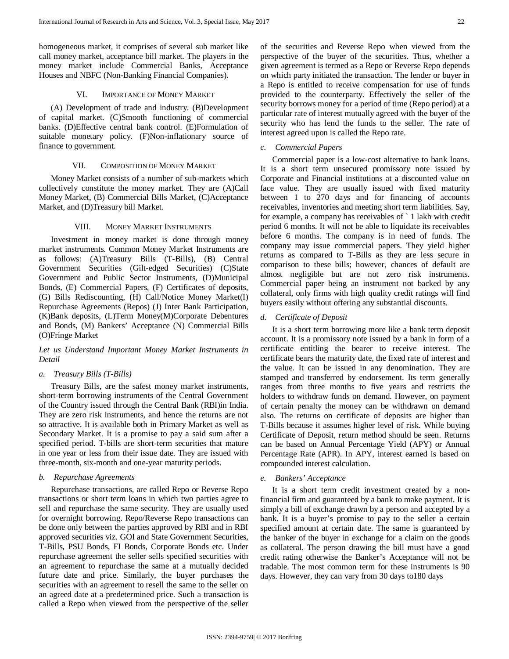homogeneous market, it comprises of several sub market like call money market, acceptance bill market. The players in the money market include Commercial Banks, Acceptance Houses and NBFC (Non-Banking Financial Companies).

## VI. IMPORTANCE OF MONEY MARKET

(A) Development of trade and industry. (B)Development of capital market. (C)Smooth functioning of commercial banks. (D)Effective central bank control. (E)Formulation of suitable monetary policy. (F)Non-inflationary source of finance to government.

# VII. COMPOSITION OF MONEY MARKET

Money Market consists of a number of sub-markets which collectively constitute the money market. They are (A)Call Money Market, (B) Commercial Bills Market, (C)Acceptance Market, and (D)Treasury bill Market.

# VIII. MONEY MARKET INSTRUMENTS

Investment in money market is done through money market instruments. Common Money Market Instruments are as follows: (A)Treasury Bills (T-Bills), (B) Central Government Securities (Gilt-edged Securities) (C)State Government and Public Sector Instruments, (D)Municipal Bonds, (E) Commercial Papers, (F) Certificates of deposits, (G) Bills Rediscounting, (H) Call/Notice Money Market(I) Repurchase Agreements (Repos) (J) Inter Bank Participation, (K)Bank deposits, (L)Term Money(M)Corporate Debentures and Bonds, (M) Bankers' Acceptance (N) Commercial Bills (O)Fringe Market

# *Let us Understand Important Money Market Instruments in Detail*

# *a. Treasury Bills (T-Bills)*

Treasury Bills, are the safest money market instruments, short-term borrowing instruments of the Central Government of the Country issued through the Central Bank (RBI)in India. They are zero risk instruments, and hence the returns are not so attractive. It is available both in Primary Market as well as Secondary Market. It is a promise to pay a said sum after a specified period. T-bills are short-term securities that mature in one year or less from their issue date. They are issued with three-month, six-month and one-year maturity periods.

## *b. Repurchase Agreements*

Repurchase transactions, are called Repo or Reverse Repo transactions or short term loans in which two parties agree to sell and repurchase the same security. They are usually used for overnight borrowing. Repo/Reverse Repo transactions can be done only between the parties approved by RBI and in RBI approved securities viz. GOI and State Government Securities, T-Bills, PSU Bonds, FI Bonds, Corporate Bonds etc. Under repurchase agreement the seller sells specified securities with an agreement to repurchase the same at a mutually decided future date and price. Similarly, the buyer purchases the securities with an agreement to resell the same to the seller on an agreed date at a predetermined price. Such a transaction is called a Repo when viewed from the perspective of the seller

of the securities and Reverse Repo when viewed from the perspective of the buyer of the securities. Thus, whether a given agreement is termed as a Repo or Reverse Repo depends on which party initiated the transaction. The lender or buyer in a Repo is entitled to receive compensation for use of funds provided to the counterparty. Effectively the seller of the security borrows money for a period of time (Repo period) at a particular rate of interest mutually agreed with the buyer of the security who has lend the funds to the seller. The rate of interest agreed upon is called the Repo rate.

# *c. Commercial Papers*

Commercial paper is a low-cost alternative to bank loans. It is a short term unsecured promissory note issued by Corporate and Financial institutions at a discounted value on face value. They are usually issued with fixed maturity between 1 to 270 days and for financing of accounts receivables, inventories and meeting short term liabilities. Say, for example, a company has receivables of ` 1 lakh with credit period 6 months. It will not be able to liquidate its receivables before 6 months. The company is in need of funds. The company may issue commercial papers. They yield higher returns as compared to T-Bills as they are less secure in comparison to these bills; however, chances of default are almost negligible but are not zero risk instruments. Commercial paper being an instrument not backed by any collateral, only firms with high quality credit ratings will find buyers easily without offering any substantial discounts.

#### *d. Certificate of Deposit*

It is a short term borrowing more like a bank term deposit account. It is a promissory note issued by a bank in form of a certificate entitling the bearer to receive interest. The certificate bears the maturity date, the fixed rate of interest and the value. It can be issued in any denomination. They are stamped and transferred by endorsement. Its term generally ranges from three months to five years and restricts the holders to withdraw funds on demand. However, on payment of certain penalty the money can be withdrawn on demand also. The returns on certificate of deposits are higher than T-Bills because it assumes higher level of risk. While buying Certificate of Deposit, return method should be seen. Returns can be based on Annual Percentage Yield (APY) or Annual Percentage Rate (APR). In APY, interest earned is based on compounded interest calculation.

## *e. Bankers' Acceptance*

It is a short term credit investment created by a nonfinancial firm and guaranteed by a bank to make payment. It is simply a bill of exchange drawn by a person and accepted by a bank. It is a buyer's promise to pay to the seller a certain specified amount at certain date. The same is guaranteed by the banker of the buyer in exchange for a claim on the goods as collateral. The person drawing the bill must have a good credit rating otherwise the Banker's Acceptance will not be tradable. The most common term for these instruments is 90 days. However, they can vary from 30 days to180 days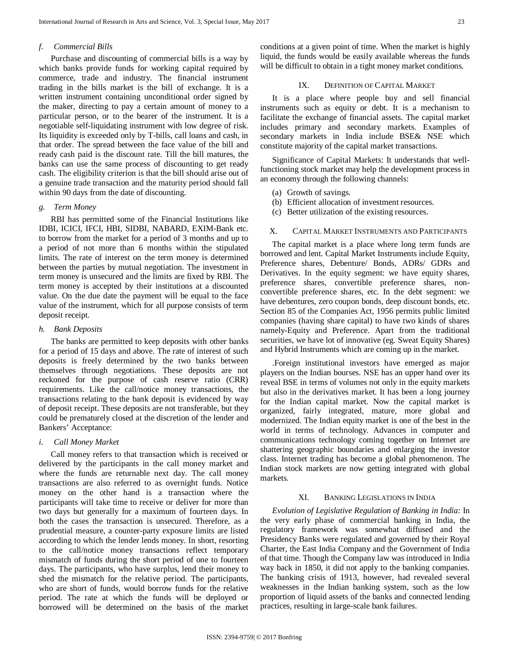# *f. Commercial Bills*

Purchase and discounting of commercial bills is a way by which banks provide funds for working capital required by commerce, trade and industry. The financial instrument trading in the bills market is the bill of exchange. It is a written instrument containing unconditional order signed by the maker, directing to pay a certain amount of money to a particular person, or to the bearer of the instrument. It is a negotiable self-liquidating instrument with low degree of risk. Its liquidity is exceeded only by T-bills, call loans and cash, in that order. The spread between the face value of the bill and ready cash paid is the discount rate. Till the bill matures, the banks can use the same process of discounting to get ready cash. The eligibility criterion is that the bill should arise out of a genuine trade transaction and the maturity period should fall within 90 days from the date of discounting.

## *g. Term Money*

RBI has permitted some of the Financial Institutions like IDBI, ICICI, IFCI, HBI, SIDBI, NABARD, EXIM-Bank etc. to borrow from the market for a period of 3 months and up to a period of not more than 6 months within the stipulated limits. The rate of interest on the term money is determined between the parties by mutual negotiation. The investment in term money is unsecured and the limits are fixed by RBI. The term money is accepted by their institutions at a discounted value. On the due date the payment will be equal to the face value of the instrument, which for all purpose consists of term deposit receipt.

# *h. Bank Deposits*

The banks are permitted to keep deposits with other banks for a period of 15 days and above. The rate of interest of such deposits is freely determined by the two banks between themselves through negotiations. These deposits are not reckoned for the purpose of cash reserve ratio (CRR) requirements. Like the call/notice money transactions, the transactions relating to the bank deposit is evidenced by way of deposit receipt. These deposits are not transferable, but they could be prematurely closed at the discretion of the lender and Bankers' Acceptance:

#### *i. Call Money Market*

Call money refers to that transaction which is received or delivered by the participants in the call money market and where the funds are returnable next day. The call money transactions are also referred to as overnight funds. Notice money on the other hand is a transaction where the participants will take time to receive or deliver for more than two days but generally for a maximum of fourteen days. In both the cases the transaction is unsecured. Therefore, as a prudential measure, a counter-party exposure limits are listed according to which the lender lends money. In short, resorting to the call/notice money transactions reflect temporary mismatch of funds during the short period of one to fourteen days. The participants, who have surplus, lend their money to shed the mismatch for the relative period. The participants, who are short of funds, would borrow funds for the relative period. The rate at which the funds will be deployed or borrowed will be determined on the basis of the market

conditions at a given point of time. When the market is highly liquid, the funds would be easily available whereas the funds will be difficult to obtain in a tight money market conditions.

# IX. DEFINITION OF CAPITAL MARKET

It is a place where people buy and sell financial instruments such as equity or debt. It is a mechanism to facilitate the exchange of financial assets. The capital market includes primary and secondary markets. Examples of secondary markets in India include BSE& NSE which constitute majority of the capital market transactions.

Significance of Capital Markets: It understands that wellfunctioning stock market may help the development process in an economy through the following channels:

- (a) Growth of savings.
- (b) Efficient allocation of investment resources.
- (c) Better utilization of the existing resources.

# X. CAPITAL MARKET INSTRUMENTS AND PARTICIPANTS

The capital market is a place where long term funds are borrowed and lent. Capital Market Instruments include Equity, Preference shares, Debenture/ Bonds, ADRs/ GDRs and Derivatives. In the equity segment: we have equity shares, preference shares, convertible preference shares, nonconvertible preference shares, etc. In the debt segment: we have debentures, zero coupon bonds, deep discount bonds, etc. Section 85 of the Companies Act, 1956 permits public limited companies (having share capital) to have two kinds of shares namely-Equity and Preference. Apart from the traditional securities, we have lot of innovative (eg. Sweat Equity Shares) and Hybrid Instruments which are coming up in the market.

.Foreign institutional investors have emerged as major players on the Indian bourses. NSE has an upper hand over its reveal BSE in terms of volumes not only in the equity markets but also in the derivatives market. It has been a long journey for the Indian capital market. Now the capital market is organized, fairly integrated, mature, more global and modernized. The Indian equity market is one of the best in the world in terms of technology. Advances in computer and communications technology coming together on Internet are shattering geographic boundaries and enlarging the investor class. Internet trading has become a global phenomenon. The Indian stock markets are now getting integrated with global markets.

# XI. BANKING LEGISLATIONS IN INDIA

*Evolution of Legislative Regulation of Banking in India:* In the very early phase of commercial banking in India, the regulatory framework was somewhat diffused and the Presidency Banks were regulated and governed by their Royal Charter, the East India Company and the Government of India of that time. Though the Company law was introduced in India way back in 1850, it did not apply to the banking companies. The banking crisis of 1913, however, had revealed several weaknesses in the Indian banking system, such as the low proportion of liquid assets of the banks and connected lending practices, resulting in large-scale bank failures.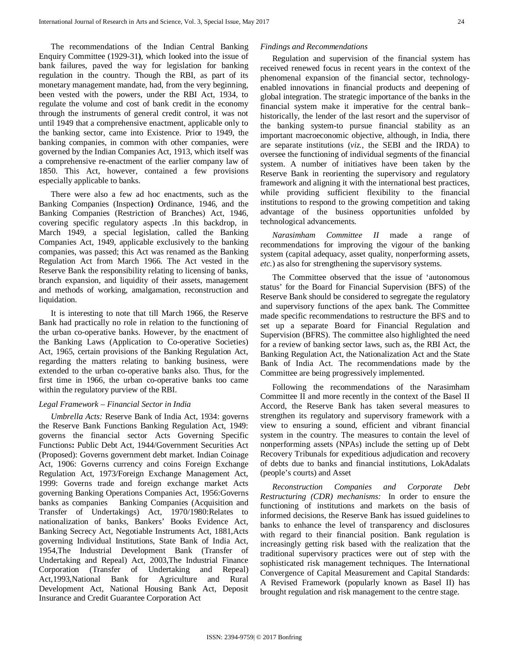The recommendations of the Indian Central Banking Enquiry Committee (1929-31**)**, which looked into the issue of bank failures, paved the way for legislation for banking regulation in the country. Though the RBI, as part of its monetary management mandate, had, from the very beginning, been vested with the powers, under the RBI Act, 1934, to regulate the volume and cost of bank credit in the economy through the instruments of general credit control, it was not until 1949 that a comprehensive enactment, applicable only to the banking sector, came into Existence. Prior to 1949, the banking companies, in common with other companies, were governed by the Indian Companies Act, 1913, which itself was a comprehensive re-enactment of the earlier company law of 1850. This Act, however, contained a few provisions especially applicable to banks.

There were also a few ad hoc enactments, such as the Banking Companies (Inspection**)** Ordinance, 1946, and the Banking Companies (Restriction of Branches) Act, 1946, covering specific regulatory aspects .In this backdrop, in March 1949, a special legislation, called the Banking Companies Act, 1949, applicable exclusively to the banking companies, was passed; this Act was renamed as the Banking Regulation Act from March 1966. The Act vested in the Reserve Bank the responsibility relating to licensing of banks, branch expansion, and liquidity of their assets, management and methods of working, amalgamation, reconstruction and liquidation.

It is interesting to note that till March 1966, the Reserve Bank had practically no role in relation to the functioning of the urban co-operative banks. However, by the enactment of the Banking Laws (Application to Co-operative Societies) Act, 1965, certain provisions of the Banking Regulation Act, regarding the matters relating to banking business, were extended to the urban co-operative banks also. Thus, for the first time in 1966, the urban co-operative banks too came within the regulatory purview of the RBI.

## *Legal Framework – Financial Sector in India*

*Umbrella Acts:* Reserve Bank of India Act, 1934: governs the Reserve Bank Functions Banking Regulation Act, 1949: governs the financial sector Acts Governing Specific Functions**:** Public Debt Act, 1944/Government Securities Act (Proposed): Governs government debt market. Indian Coinage Act, 1906: Governs currency and coins Foreign Exchange Regulation Act, 1973/Foreign Exchange Management Act, 1999: Governs trade and foreign exchange market Acts governing Banking Operations Companies Act, 1956:Governs banks as companies Banking Companies (Acquisition and Transfer of Undertakings) Act, 1970/1980:Relates to nationalization of banks, Bankers' Books Evidence Act, Banking Secrecy Act, Negotiable Instruments Act, 1881,Acts governing Individual Institutions, State Bank of India Act, 1954,The Industrial Development Bank (Transfer of Undertaking and Repeal) Act, 2003,The Industrial Finance Corporation (Transfer of Undertaking and Repeal) Act,1993,National Bank for Agriculture and Rural Development Act, National Housing Bank Act, Deposit Insurance and Credit Guarantee Corporation Act

# *Findings and Recommendations*

Regulation and supervision of the financial system has received renewed focus in recent years in the context of the phenomenal expansion of the financial sector, technologyenabled innovations in financial products and deepening of global integration. The strategic importance of the banks in the financial system make it imperative for the central bank– historically, the lender of the last resort and the supervisor of the banking system-to pursue financial stability as an important macroeconomic objective, although, in India, there are separate institutions (*viz.*, the SEBI and the IRDA) to oversee the functioning of individual segments of the financial system. A number of initiatives have been taken by the Reserve Bank in reorienting the supervisory and regulatory framework and aligning it with the international best practices, while providing sufficient flexibility to the financial institutions to respond to the growing competition and taking advantage of the business opportunities unfolded by technological advancements.

*Narasimham Committee II* made a range of recommendations for improving the vigour of the banking system (capital adequacy, asset quality, nonperforming assets, *etc.*) as also for strengthening the supervisory systems.

The Committee observed that the issue of 'autonomous status' for the Board for Financial Supervision (BFS) of the Reserve Bank should be considered to segregate the regulatory and supervisory functions of the apex bank. The Committee made specific recommendations to restructure the BFS and to set up a separate Board for Financial Regulation and Supervision (BFRS). The committee also highlighted the need for a review of banking sector laws, such as, the RBI Act, the Banking Regulation Act, the Nationalization Act and the State Bank of India Act. The recommendations made by the Committee are being progressively implemented.

Following the recommendations of the Narasimham Committee II and more recently in the context of the Basel II Accord, the Reserve Bank has taken several measures to strengthen its regulatory and supervisory framework with a view to ensuring a sound, efficient and vibrant financial system in the country. The measures to contain the level of nonperforming assets (NPAs) include the setting up of Debt Recovery Tribunals for expeditious adjudication and recovery of debts due to banks and financial institutions, LokAdalats (people's courts) and Asset

*Reconstruction Companies and Corporate Debt Restructuring (CDR) mechanisms:* In order to ensure the functioning of institutions and markets on the basis of informed decisions, the Reserve Bank has issued guidelines to banks to enhance the level of transparency and disclosures with regard to their financial position. Bank regulation is increasingly getting risk based with the realization that the traditional supervisory practices were out of step with the sophisticated risk management techniques. The International Convergence of Capital Measurement and Capital Standards: A Revised Framework (popularly known as Basel II) has brought regulation and risk management to the centre stage.